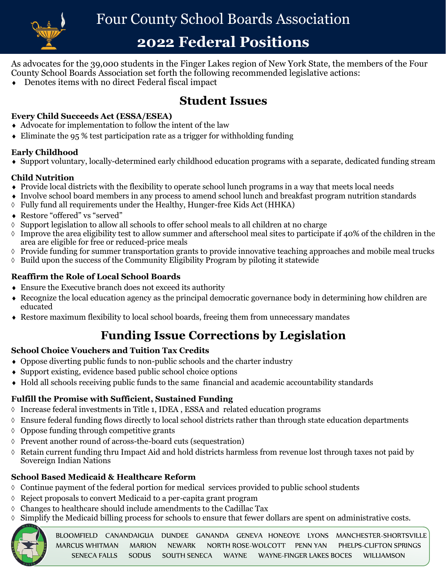

# **2022 Federal Positions**

As advocates for the 39,000 students in the Finger Lakes region of New York State, the members of the Four County School Boards Association set forth the following recommended legislative actions:

Denotes items with no direct Federal fiscal impact

# **Student Issues**

## **Every Child Succeeds Act (ESSA/ESEA)**

- $\triangle$  Advocate for implementation to follow the intent of the law
- Eliminate the 95 % test participation rate as a trigger for withholding funding

## **Early Childhood**

Support voluntary, locally-determined early childhood education programs with a separate, dedicated funding stream

## **Child Nutrition**

- Provide local districts with the flexibility to operate school lunch programs in a way that meets local needs
- Involve school board members in any process to amend school lunch and breakfast program nutrition standards
- $\Diamond$  Fully fund all requirements under the Healthy, Hunger-free Kids Act (HHKA)
- Restore "offered" vs "served"
- $\Diamond$  Support legislation to allow all schools to offer school meals to all children at no charge
- $\Diamond$  Improve the area eligibility test to allow summer and afterschool meal sites to participate if 40% of the children in the area are eligible for free or reduced-price meals
- $\Diamond$  Provide funding for summer transportation grants to provide innovative teaching approaches and mobile meal trucks
- $\Diamond$  Build upon the success of the Community Eligibility Program by piloting it statewide

## **Reaffirm the Role of Local School Boards**

- Ensure the Executive branch does not exceed its authority
- Recognize the local education agency as the principal democratic governance body in determining how children are educated
- Restore maximum flexibility to local school boards, freeing them from unnecessary mandates

# **Funding Issue Corrections by Legislation**

## **School Choice Vouchers and Tuition Tax Credits**

- Oppose diverting public funds to non-public schools and the charter industry
- Support existing, evidence based public school choice options
- Hold all schools receiving public funds to the same financial and academic accountability standards

# **Fulfill the Promise with Sufficient, Sustained Funding**

- Increase federal investments in Title 1, IDEA , ESSA and related education programs
- $\Diamond$  Ensure federal funding flows directly to local school districts rather than through state education departments
- $\lozenge$  Oppose funding through competitive grants
- $\Diamond$  Prevent another round of across-the-board cuts (sequestration)
- $\Diamond$  Retain current funding thru Impact Aid and hold districts harmless from revenue lost through taxes not paid by Sovereign Indian Nations

# **School Based Medicaid & Healthcare Reform**

- $\Diamond$  Continue payment of the federal portion for medical services provided to public school students
- $\Diamond$  Reject proposals to convert Medicaid to a per-capita grant program
- $\Diamond$  Changes to healthcare should include amendments to the Cadillac Tax
- $\Diamond$  Simplify the Medicaid billing process for schools to ensure that fewer dollars are spent on administrative costs.



BLOOMFIELD CANANDAIGUA DUNDEE GANANDA GENEVA HONEOYE LYONS MANCHESTER-SHORTSVILLE<br>MARCUS-WHITMAN MARION NEWARK NORTH-ROSE-WOLCOTT PENN-YAN PHELPS-CLIETON-SPRINGS MARCUS WHITMAN MARION NEWARK NORTH ROSE-WOLCOTT PENN YAN PHELPS-CLIFTON SPRINGS SENECA FALLS SODUS SOUTH SENECA WAYNE WAYNE-FINGER LAKES BOCES WILLIAMSON